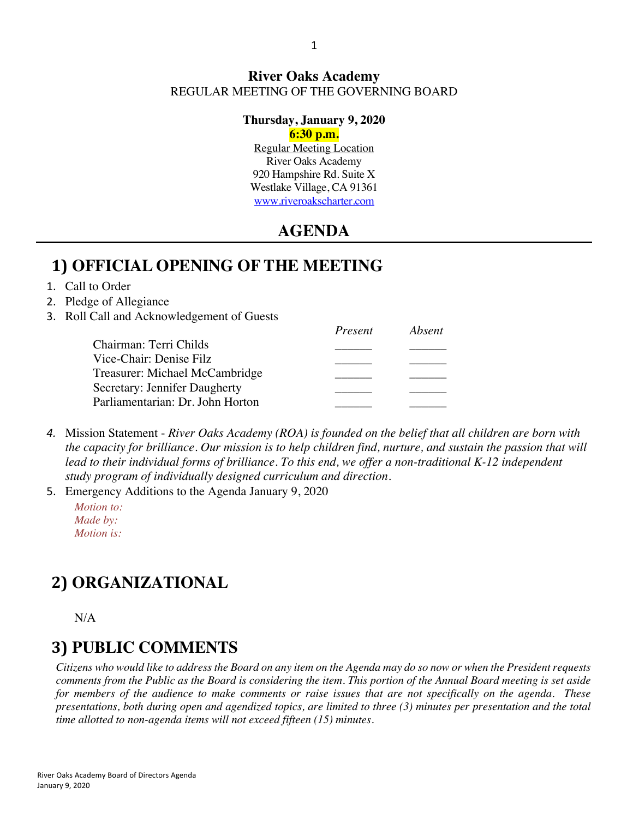### **River Oaks Academy** REGULAR MEETING OF THE GOVERNING BOARD

### **Thursday, January 9, 2020**

#### **6:30 p.m.**

Regular Meeting Location River Oaks Academy 920 Hampshire Rd. Suite X Westlake Village, CA 91361 www.riveroakscharter.com

### **AGENDA**

### **1) OFFICIAL OPENING OF THE MEETING**

#### 1. Call to Order

- 2. Pledge of Allegiance
- 3. Roll Call and Acknowledgement of Guests

| Present | Absent |
|---------|--------|
|         |        |
|         |        |
|         |        |
|         |        |
|         |        |
|         |        |

*4.* Mission Statement - *River Oaks Academy (ROA) is founded on the belief that all children are born with the capacity for brilliance. Our mission is to help children find, nurture, and sustain the passion that will*  lead to their individual forms of brilliance. To this end, we offer a non-traditional K-12 independent *study program of individually designed curriculum and direction.*

5. Emergency Additions to the Agenda January 9, 2020

*Motion to: Made by: Motion is:*

# **2) ORGANIZATIONAL**

N/A

# **3) PUBLIC COMMENTS**

*Citizens who would like to address the Board on any item on the Agenda may do so now or when the President requests comments from the Public as the Board is considering the item. This portion of the Annual Board meeting is set aside for members of the audience to make comments or raise issues that are not specifically on the agenda. These presentations, both during open and agendized topics, are limited to three (3) minutes per presentation and the total time allotted to non-agenda items will not exceed fifteen (15) minutes.*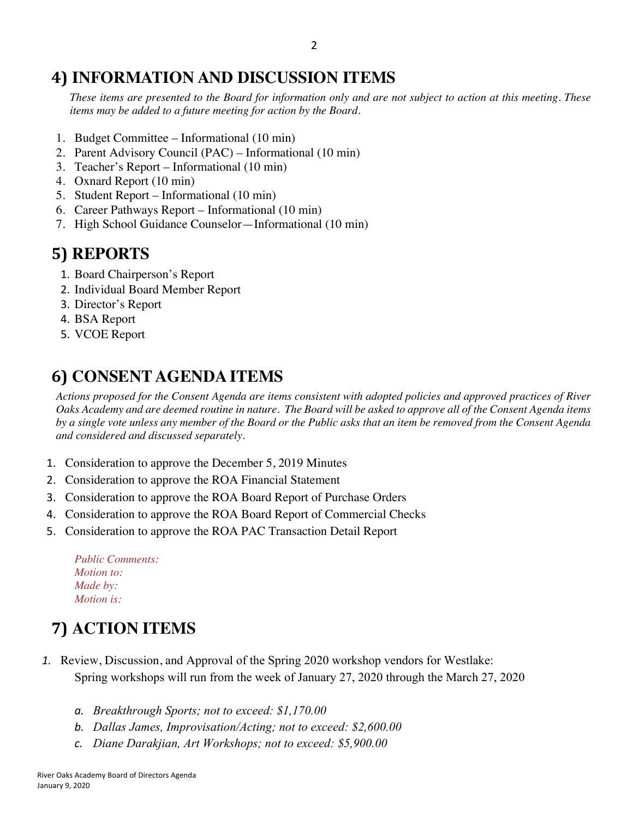## **4) INFORMATION AND DISCUSSION ITEMS**

*These items are presented to the Board for information only and are not subject to action at this meeting. These items may be added to a future meeting for action by the Board.*

- 1. Budget Committee Informational (10 min)
- 2. Parent Advisory Council (PAC) Informational (10 min)
- 3. Teacher's Report Informational (10 min)
- 4. Oxnard Report (10 min)
- 5. Student Report Informational (10 min)
- 6. Career Pathways Report Informational (10 min)
- 7. High School Guidance Counselor—Informational (10 min)

# **5) REPORTS**

- 1. Board Chairperson's Report
- 2. Individual Board Member Report
- 3. Director's Report
- 4. BSA Report
- 5. VCOE Report

# **6) CONSENT AGENDA ITEMS**

*Actions proposed for the Consent Agenda are items consistent with adopted policies and approved practices of River Oaks Academy and are deemed routine in nature. The Board will be asked to approve all of the Consent Agenda items by a single vote unless any member of the Board or the Public asks that an item be removed from the Consent Agenda and considered and discussed separately.*

- 1. Consideration to approve the December 5, 2019 Minutes
- 2. Consideration to approve the ROA Financial Statement
- 3. Consideration to approve the ROA Board Report of Purchase Orders
- 4. Consideration to approve the ROA Board Report of Commercial Checks
- 5. Consideration to approve the ROA PAC Transaction Detail Report

| <b>Public Comments:</b> |  |
|-------------------------|--|
| <i>Motion to:</i>       |  |
| Made by:                |  |
| <i>Motion is:</i>       |  |

# **7) ACTION ITEMS**

- *1.* Review, Discussion, and Approval of the Spring 2020 workshop vendors for Westlake: Spring workshops will run from the week of January 27, 2020 through the March 27, 2020
	- *a. Breakthrough Sports; not to exceed: \$1,170.00*
	- *b. Dallas James, Improvisation/Acting; not to exceed: \$2,600.00*
	- *c. Diane Darakjian, Art Workshops; not to exceed: \$5,900.00*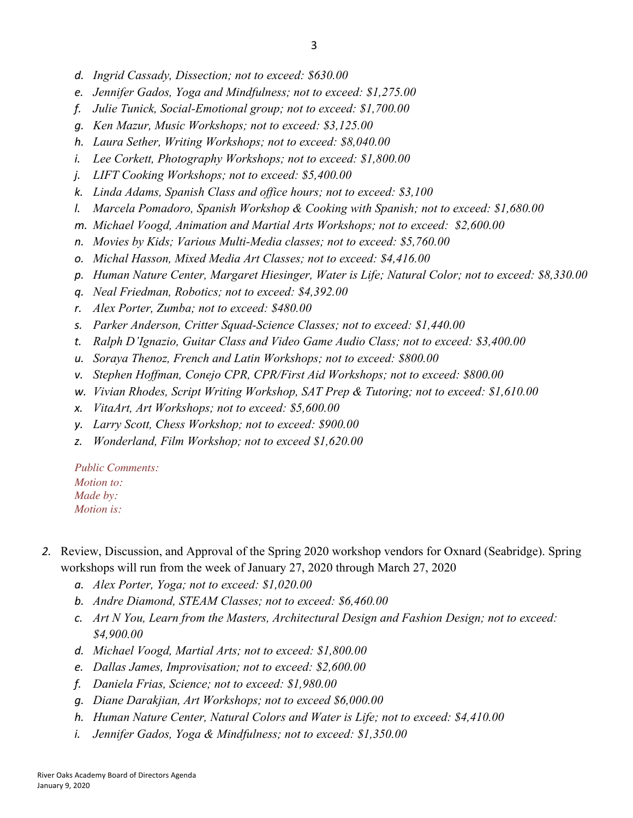- *d. Ingrid Cassady, Dissection; not to exceed: \$630.00*
- *e. Jennifer Gados, Yoga and Mindfulness; not to exceed: \$1,275.00*
- *f. Julie Tunick, Social-Emotional group; not to exceed: \$1,700.00*
- *g. Ken Mazur, Music Workshops; not to exceed: \$3,125.00*
- *h. Laura Sether, Writing Workshops; not to exceed: \$8,040.00*
- *i. Lee Corkett, Photography Workshops; not to exceed: \$1,800.00*
- *j. LIFT Cooking Workshops; not to exceed: \$5,400.00*
- *k. Linda Adams, Spanish Class and office hours; not to exceed: \$3,100*
- *l. Marcela Pomadoro, Spanish Workshop & Cooking with Spanish; not to exceed: \$1,680.00*
- *m. Michael Voogd, Animation and Martial Arts Workshops; not to exceed: \$2,600.00*
- *n. Movies by Kids; Various Multi-Media classes; not to exceed: \$5,760.00*
- *o. Michal Hasson, Mixed Media Art Classes; not to exceed: \$4,416.00*
- *p. Human Nature Center, Margaret Hiesinger, Water is Life; Natural Color; not to exceed: \$8,330.00*
- *q. Neal Friedman, Robotics; not to exceed: \$4,392.00*
- *r. Alex Porter, Zumba; not to exceed: \$480.00*
- *s. Parker Anderson, Critter Squad-Science Classes; not to exceed: \$1,440.00*
- *t. Ralph D'Ignazio, Guitar Class and Video Game Audio Class; not to exceed: \$3,400.00*
- *u. Soraya Thenoz, French and Latin Workshops; not to exceed: \$800.00*
- *v. Stephen Hoffman, Conejo CPR, CPR/First Aid Workshops; not to exceed: \$800.00*
- *w. Vivian Rhodes, Script Writing Workshop, SAT Prep & Tutoring; not to exceed: \$1,610.00*
- *x. VitaArt, Art Workshops; not to exceed: \$5,600.00*
- *y. Larry Scott, Chess Workshop; not to exceed: \$900.00*
- *z. Wonderland, Film Workshop; not to exceed \$1,620.00*

*Public Comments: Motion to: Made by: Motion is:*

- *2.* Review, Discussion, and Approval of the Spring 2020 workshop vendors for Oxnard (Seabridge). Spring workshops will run from the week of January 27, 2020 through March 27, 2020
	- *a. Alex Porter, Yoga; not to exceed: \$1,020.00*
	- *b. Andre Diamond, STEAM Classes; not to exceed: \$6,460.00*
	- *c. Art N You, Learn from the Masters, Architectural Design and Fashion Design; not to exceed: \$4,900.00*
	- *d. Michael Voogd, Martial Arts; not to exceed: \$1,800.00*
	- *e. Dallas James, Improvisation; not to exceed: \$2,600.00*
	- *f. Daniela Frias, Science; not to exceed: \$1,980.00*
	- *g. Diane Darakjian, Art Workshops; not to exceed \$6,000.00*
	- *h. Human Nature Center, Natural Colors and Water is Life; not to exceed: \$4,410.00*
	- *i. Jennifer Gados, Yoga & Mindfulness; not to exceed: \$1,350.00*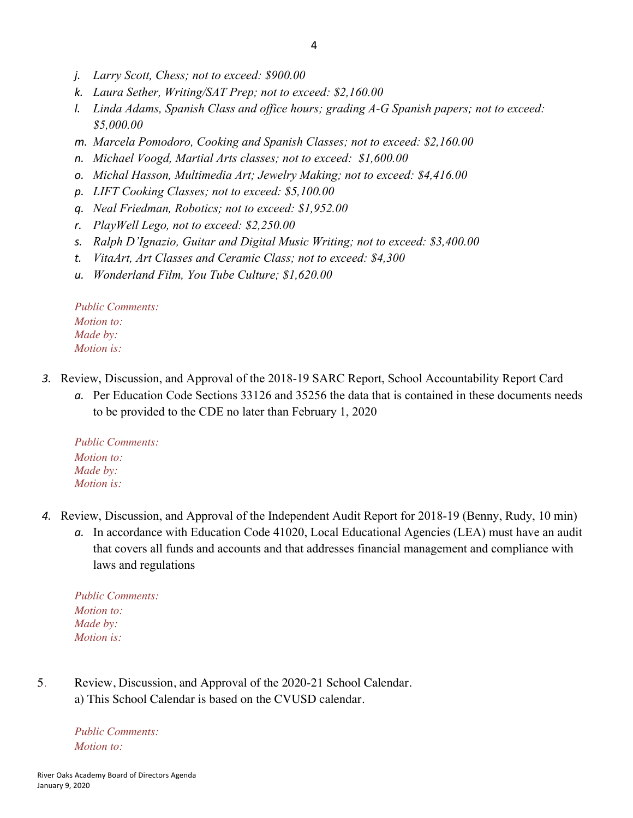- *j. Larry Scott, Chess; not to exceed: \$900.00*
- *k. Laura Sether, Writing/SAT Prep; not to exceed: \$2,160.00*
- *l. Linda Adams, Spanish Class and office hours; grading A-G Spanish papers; not to exceed: \$5,000.00*
- *m. Marcela Pomodoro, Cooking and Spanish Classes; not to exceed: \$2,160.00*
- *n. Michael Voogd, Martial Arts classes; not to exceed: \$1,600.00*
- *o. Michal Hasson, Multimedia Art; Jewelry Making; not to exceed: \$4,416.00*
- *p. LIFT Cooking Classes; not to exceed: \$5,100.00*
- *q. Neal Friedman, Robotics; not to exceed: \$1,952.00*
- *r. PlayWell Lego, not to exceed: \$2,250.00*
- *s. Ralph D'Ignazio, Guitar and Digital Music Writing; not to exceed: \$3,400.00*
- *t. VitaArt, Art Classes and Ceramic Class; not to exceed: \$4,300*
- *u. Wonderland Film, You Tube Culture; \$1,620.00*

*Public Comments: Motion to: Made by: Motion is:*

- *3.* Review, Discussion, and Approval of the 2018-19 SARC Report, School Accountability Report Card
	- *a.* Per Education Code Sections 33126 and 35256 the data that is contained in these documents needs to be provided to the CDE no later than February 1, 2020

*Public Comments: Motion to: Made by: Motion is:*

- *4.* Review, Discussion, and Approval of the Independent Audit Report for 2018-19 (Benny, Rudy, 10 min)
	- *a.* In accordance with Education Code 41020, Local Educational Agencies (LEA) must have an audit that covers all funds and accounts and that addresses financial management and compliance with laws and regulations

*Public Comments: Motion to: Made by: Motion is:*

5*.* Review, Discussion, and Approval of the 2020-21 School Calendar. a) This School Calendar is based on the CVUSD calendar.

*Public Comments: Motion to:*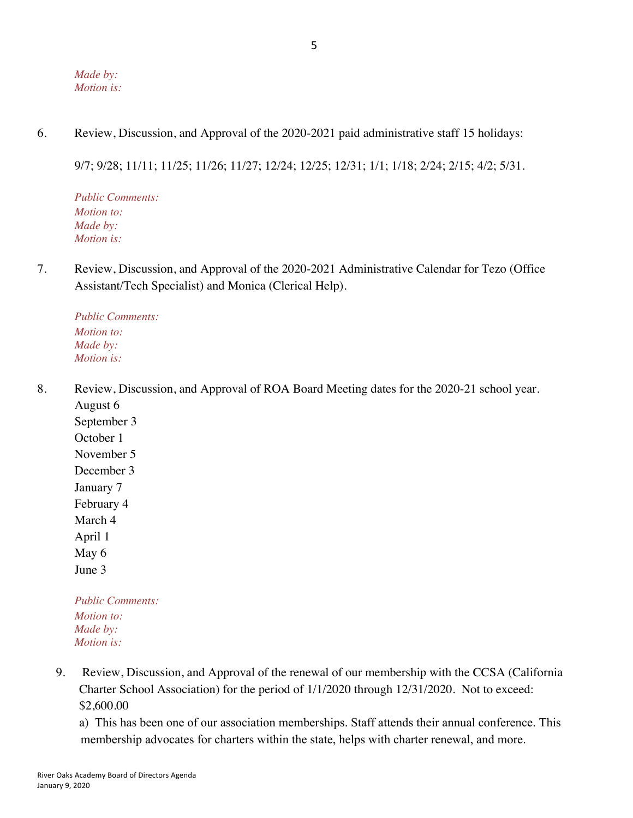#### *Made by: Motion is:*

6. Review, Discussion, and Approval of the 2020-2021 paid administrative staff 15 holidays:

9/7; 9/28; 11/11; 11/25; 11/26; 11/27; 12/24; 12/25; 12/31; 1/1; 1/18; 2/24; 2/15; 4/2; 5/31.

*Public Comments: Motion to: Made by: Motion is:*

7. Review, Discussion, and Approval of the 2020-2021 Administrative Calendar for Tezo (Office Assistant/Tech Specialist) and Monica (Clerical Help).

*Public Comments: Motion to: Made by: Motion is:*

8. Review, Discussion, and Approval of ROA Board Meeting dates for the 2020-21 school year. August 6

September 3 October 1 November 5 December 3 January 7 February 4 March 4 April 1 May 6 June 3

*Public Comments: Motion to: Made by: Motion is:*

9. Review, Discussion, and Approval of the renewal of our membership with the CCSA (California Charter School Association) for the period of 1/1/2020 through 12/31/2020. Not to exceed: \$2,600.00

a) This has been one of our association memberships. Staff attends their annual conference. This membership advocates for charters within the state, helps with charter renewal, and more.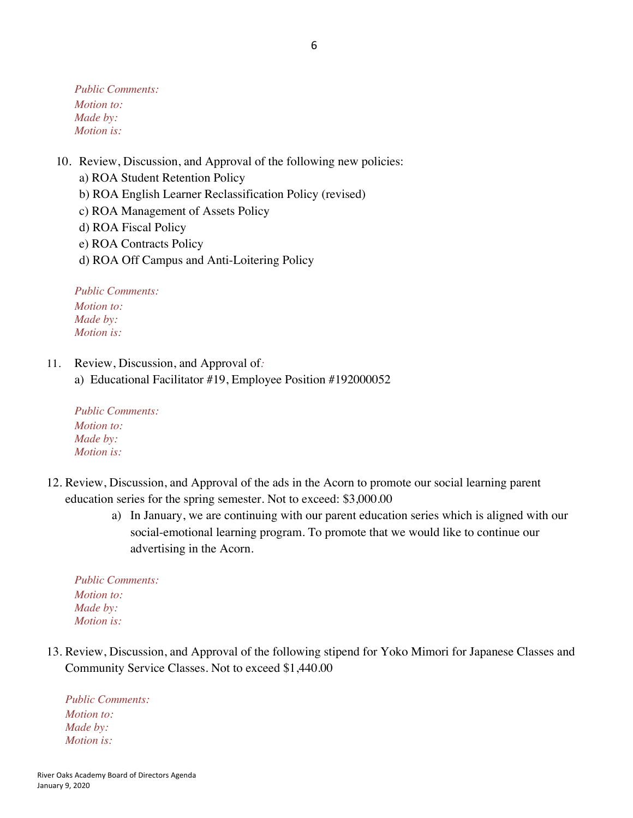*Public Comments: Motion to: Made by: Motion is:*

- 10. Review, Discussion, and Approval of the following new policies:
	- a) ROA Student Retention Policy
	- b) ROA English Learner Reclassification Policy (revised)
	- c) ROA Management of Assets Policy
	- d) ROA Fiscal Policy
	- e) ROA Contracts Policy
	- d) ROA Off Campus and Anti-Loitering Policy

*Public Comments: Motion to: Made by: Motion is:*

- 11. Review, Discussion, and Approval of*:*
	- a) Educational Facilitator #19, Employee Position #192000052

*Public Comments: Motion to: Made by: Motion is:*

- 12. Review, Discussion, and Approval of the ads in the Acorn to promote our social learning parent education series for the spring semester. Not to exceed: \$3,000.00
	- a) In January, we are continuing with our parent education series which is aligned with our social-emotional learning program. To promote that we would like to continue our advertising in the Acorn.

*Public Comments: Motion to: Made by: Motion is:*

13. Review, Discussion, and Approval of the following stipend for Yoko Mimori for Japanese Classes and Community Service Classes. Not to exceed \$1,440.00

*Public Comments: Motion to: Made by: Motion is:*